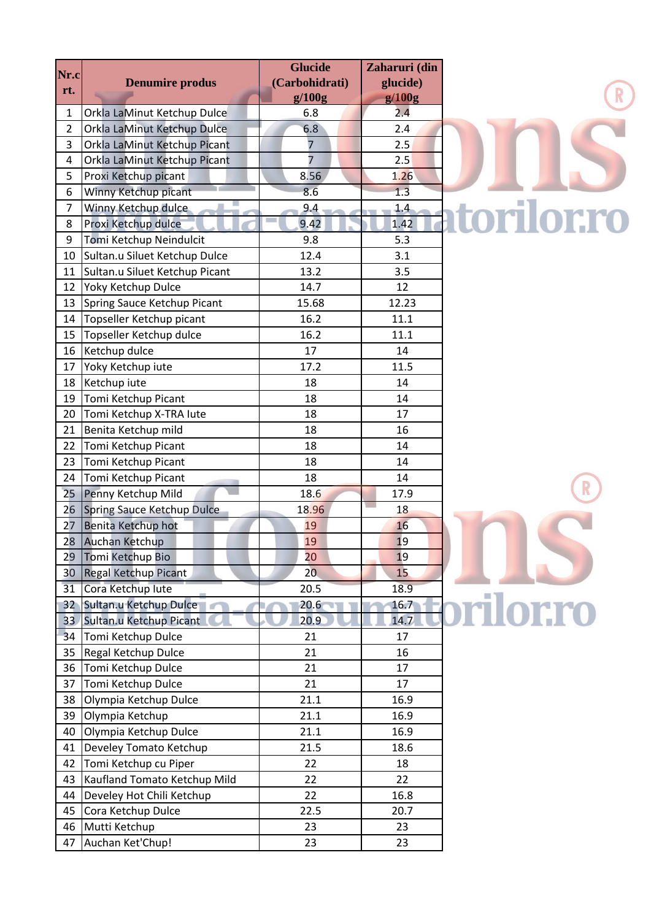|                |                                                      | <b>Glucide</b>   | Zaharuri (din |                  |  |
|----------------|------------------------------------------------------|------------------|---------------|------------------|--|
| Nr.c           | <b>Denumire produs</b>                               | (Carbohidrati)   | glucide)      |                  |  |
| rt.            |                                                      | g/100g           | g/100g        |                  |  |
| 1              | Orkla LaMinut Ketchup Dulce                          | 6.8              | 2.4           |                  |  |
| $\overline{2}$ | Orkla LaMinut Ketchup Dulce                          | 6.8              | 2.4           |                  |  |
| 3              | Orkla LaMinut Ketchup Picant                         | 7                | 2.5           |                  |  |
| 4              | Orkla LaMinut Ketchup Picant                         | $\overline{7}$   | 2.5           |                  |  |
| 5              | Proxi Ketchup picant                                 | 8.56             | 1.26          |                  |  |
| 6              | Winny Ketchup picant                                 | 8.6              | 1.3           |                  |  |
| 7              | Winny Ketchup dulce                                  | 9.4              | 1.4           | atorilor.ro      |  |
| 8              | Proxi Ketchup dulce                                  | 9.42             | 1.42          |                  |  |
| 9              | Tomi Ketchup Neindulcit                              | 9.8              | 5.3           |                  |  |
| 10             | Sultan.u Siluet Ketchup Dulce                        | 12.4             | 3.1           |                  |  |
| 11             | Sultan.u Siluet Ketchup Picant                       | 13.2             | 3.5           |                  |  |
| 12             | Yoky Ketchup Dulce                                   | 14.7             | 12            |                  |  |
| 13             | Spring Sauce Ketchup Picant                          | 15.68            | 12.23         |                  |  |
| 14             | Topseller Ketchup picant                             | 16.2             | 11.1          |                  |  |
| 15             | Topseller Ketchup dulce                              | 16.2             | 11.1          |                  |  |
| 16             | Ketchup dulce                                        | 17               | 14            |                  |  |
| 17             | Yoky Ketchup iute                                    | 17.2             | 11.5          |                  |  |
| 18             | Ketchup iute                                         | 18               | 14            |                  |  |
| 19             | Tomi Ketchup Picant                                  | 18               | 14            |                  |  |
| 20             | Tomi Ketchup X-TRA lute                              | 18               | 17            |                  |  |
| 21             | Benita Ketchup mild                                  | 18               | 16            |                  |  |
| 22             | Tomi Ketchup Picant                                  | 18               | 14            |                  |  |
| 23             | Tomi Ketchup Picant                                  | 18               | 14            |                  |  |
| 24             | Tomi Ketchup Picant                                  | 18               | 14            |                  |  |
| 25             | Penny Ketchup Mild                                   | 18.6             | 17.9          |                  |  |
| 26             | Spring Sauce Ketchup Dulce                           | 18.96            | 18            |                  |  |
| 27             | Benita Ketchup hot                                   | 19               | 16            |                  |  |
|                | 28 Auchan Ketchup                                    | 19               | 19            |                  |  |
| 29             | Tomi Ketchup Bio                                     | 20               | 19            |                  |  |
| 30             | Regal Ketchup Picant                                 | 20 <sub>1</sub>  | 15            |                  |  |
|                | Cora Ketchup lute                                    |                  |               |                  |  |
| 31             |                                                      | 20.5             | 18.9          |                  |  |
| $32^{\circ}$   | Sultan.u Ketchup Dulce<br>33 Sultan.u Ketchup Picant | $20.6 -$<br>20.9 | 16.7<br>14.7  | <b>prilor.ro</b> |  |
|                |                                                      |                  |               |                  |  |
| 34             | Tomi Ketchup Dulce                                   | 21               | 17            |                  |  |
| 35             | <b>Regal Ketchup Dulce</b>                           | 21               | 16            |                  |  |
| 36             | Tomi Ketchup Dulce                                   | 21               | 17            |                  |  |
| 37             | Tomi Ketchup Dulce                                   | 21               | 17            |                  |  |
| 38             | Olympia Ketchup Dulce                                | 21.1             | 16.9          |                  |  |
| 39             | Olympia Ketchup                                      | 21.1             | 16.9          |                  |  |
| 40             | Olympia Ketchup Dulce                                | 21.1             | 16.9          |                  |  |
| 41             | Develey Tomato Ketchup                               | 21.5             | 18.6          |                  |  |
| 42             | Tomi Ketchup cu Piper                                | 22               | 18            |                  |  |
| 43             | Kaufland Tomato Ketchup Mild                         | 22               | 22            |                  |  |
| 44             | Develey Hot Chili Ketchup                            | 22               | 16.8          |                  |  |
| 45             | Cora Ketchup Dulce                                   | 22.5             | 20.7          |                  |  |
| 46             | Mutti Ketchup                                        | 23               | 23            |                  |  |
| 47             | Auchan Ket'Chup!                                     | 23               | 23            |                  |  |